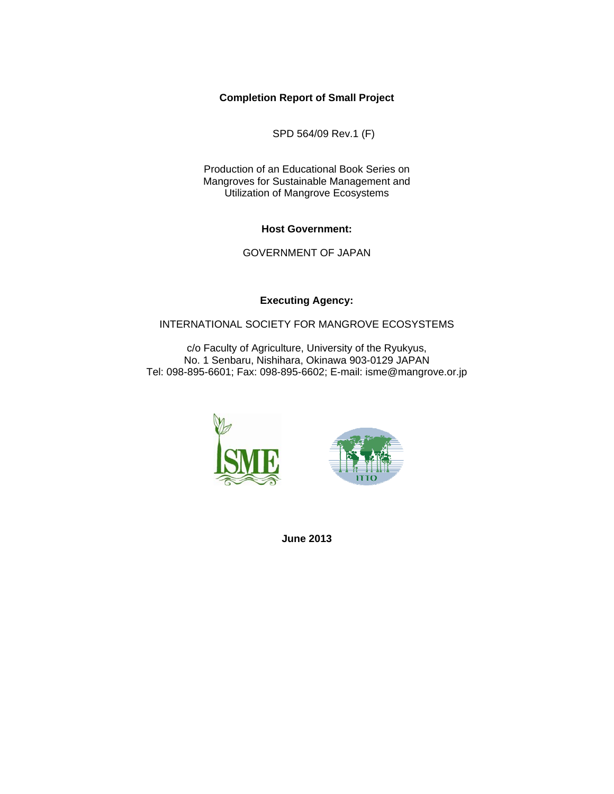#### **Completion Report of Small Project**

SPD 564/09 Rev.1 (F)

Production of an Educational Book Series on Mangroves for Sustainable Management and Utilization of Mangrove Ecosystems

**Host Government:**

GOVERNMENT OF JAPAN

**Executing Agency:** 

#### INTERNATIONAL SOCIETY FOR MANGROVE ECOSYSTEMS

c/o Faculty of Agriculture, University of the Ryukyus, No. 1 Senbaru, Nishihara, Okinawa 903-0129 JAPAN Tel: 098-895-6601; Fax: 098-895-6602; E-mail: isme@mangrove.or.jp





**June 2013**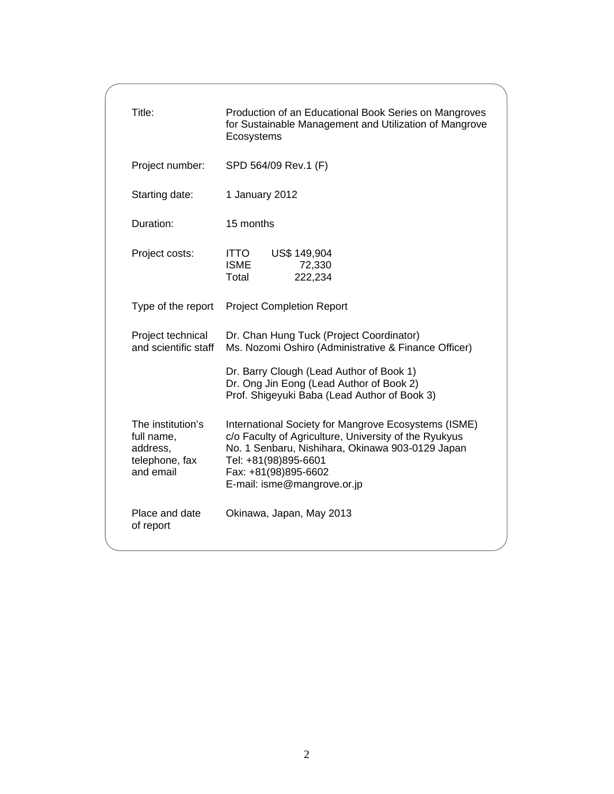| Title:                                                                     | Production of an Educational Book Series on Mangroves<br>for Sustainable Management and Utilization of Mangrove<br>Ecosystems                                                                                                                    |  |  |
|----------------------------------------------------------------------------|--------------------------------------------------------------------------------------------------------------------------------------------------------------------------------------------------------------------------------------------------|--|--|
| Project number:                                                            | SPD 564/09 Rev.1 (F)                                                                                                                                                                                                                             |  |  |
| Starting date:                                                             | 1 January 2012                                                                                                                                                                                                                                   |  |  |
| Duration:                                                                  | 15 months                                                                                                                                                                                                                                        |  |  |
| Project costs:                                                             | US\$ 149,904<br><b>ITTO</b><br><b>ISME</b><br>72,330<br>Total<br>222,234                                                                                                                                                                         |  |  |
| Type of the report                                                         | <b>Project Completion Report</b>                                                                                                                                                                                                                 |  |  |
| Project technical<br>and scientific staff                                  | Dr. Chan Hung Tuck (Project Coordinator)<br>Ms. Nozomi Oshiro (Administrative & Finance Officer)                                                                                                                                                 |  |  |
|                                                                            | Dr. Barry Clough (Lead Author of Book 1)<br>Dr. Ong Jin Eong (Lead Author of Book 2)<br>Prof. Shigeyuki Baba (Lead Author of Book 3)                                                                                                             |  |  |
| The institution's<br>full name,<br>address,<br>telephone, fax<br>and email | International Society for Mangrove Ecosystems (ISME)<br>c/o Faculty of Agriculture, University of the Ryukyus<br>No. 1 Senbaru, Nishihara, Okinawa 903-0129 Japan<br>Tel: +81(98)895-6601<br>Fax: +81(98)895-6602<br>E-mail: isme@mangrove.or.jp |  |  |
| Place and date<br>of report                                                | Okinawa, Japan, May 2013                                                                                                                                                                                                                         |  |  |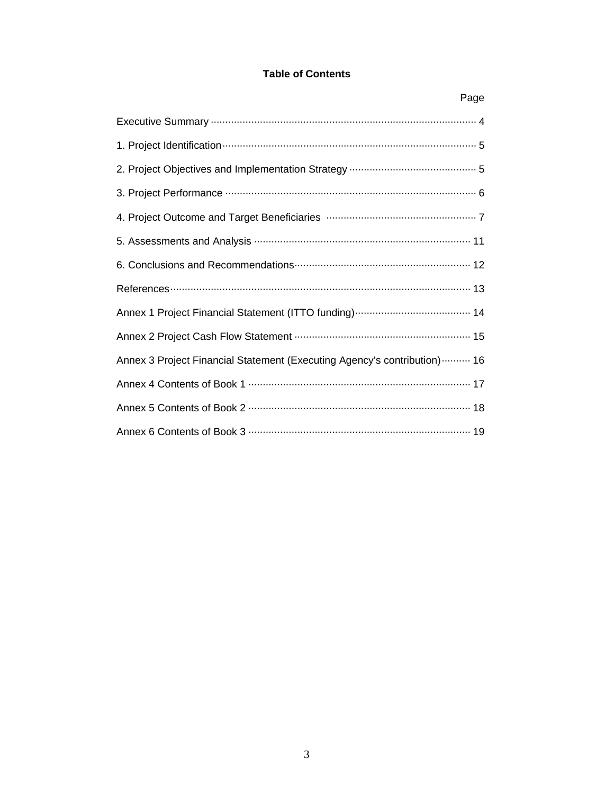## **Table of Contents**

| Page                                                                      |
|---------------------------------------------------------------------------|
|                                                                           |
|                                                                           |
|                                                                           |
|                                                                           |
|                                                                           |
|                                                                           |
|                                                                           |
|                                                                           |
|                                                                           |
|                                                                           |
| Annex 3 Project Financial Statement (Executing Agency's contribution)  16 |
|                                                                           |
|                                                                           |
|                                                                           |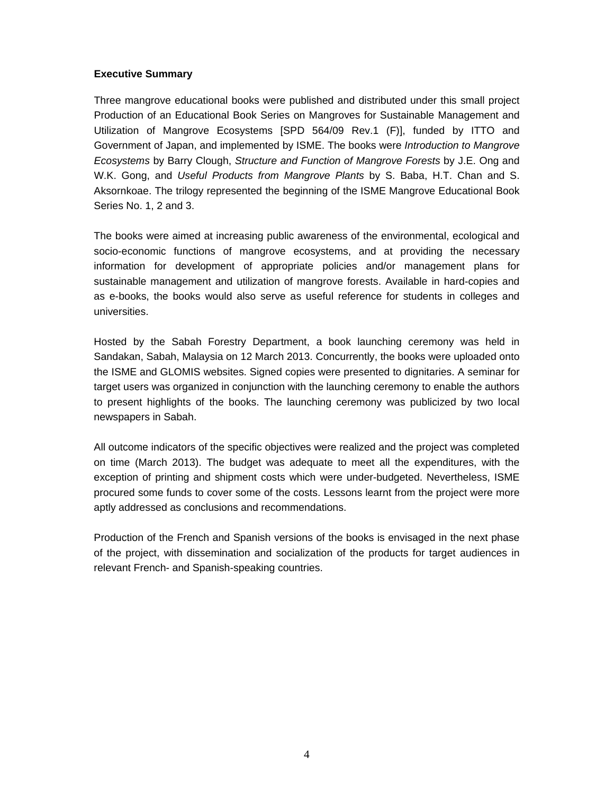#### **Executive Summary**

Three mangrove educational books were published and distributed under this small project Production of an Educational Book Series on Mangroves for Sustainable Management and Utilization of Mangrove Ecosystems [SPD 564/09 Rev.1 (F)], funded by ITTO and Government of Japan, and implemented by ISME. The books were *Introduction to Mangrove Ecosystems* by Barry Clough, *Structure and Function of Mangrove Forests* by J.E. Ong and W.K. Gong, and *Useful Products from Mangrove Plants* by S. Baba, H.T. Chan and S. Aksornkoae. The trilogy represented the beginning of the ISME Mangrove Educational Book Series No. 1, 2 and 3.

The books were aimed at increasing public awareness of the environmental, ecological and socio-economic functions of mangrove ecosystems, and at providing the necessary information for development of appropriate policies and/or management plans for sustainable management and utilization of mangrove forests. Available in hard-copies and as e-books, the books would also serve as useful reference for students in colleges and universities.

Hosted by the Sabah Forestry Department, a book launching ceremony was held in Sandakan, Sabah, Malaysia on 12 March 2013. Concurrently, the books were uploaded onto the ISME and GLOMIS websites. Signed copies were presented to dignitaries. A seminar for target users was organized in conjunction with the launching ceremony to enable the authors to present highlights of the books. The launching ceremony was publicized by two local newspapers in Sabah.

All outcome indicators of the specific objectives were realized and the project was completed on time (March 2013). The budget was adequate to meet all the expenditures, with the exception of printing and shipment costs which were under-budgeted. Nevertheless, ISME procured some funds to cover some of the costs. Lessons learnt from the project were more aptly addressed as conclusions and recommendations.

Production of the French and Spanish versions of the books is envisaged in the next phase of the project, with dissemination and socialization of the products for target audiences in relevant French- and Spanish-speaking countries.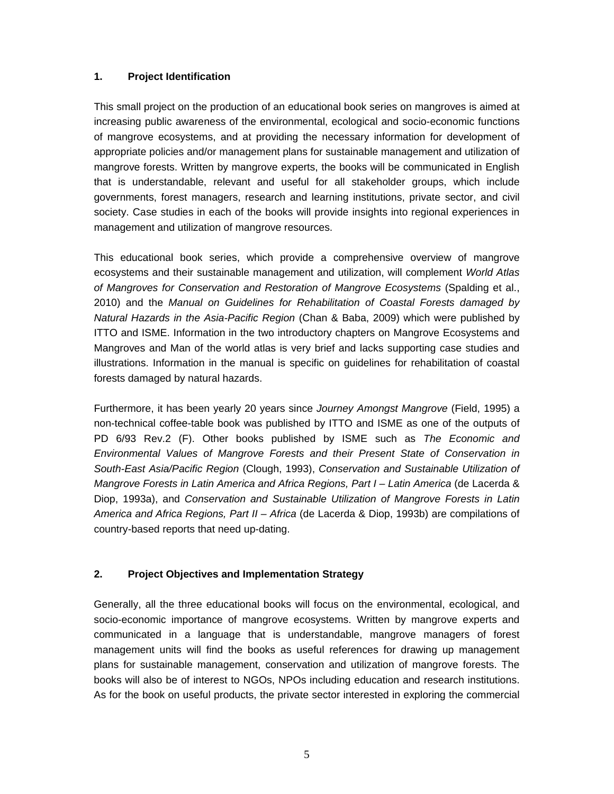### **1. Project Identification**

This small project on the production of an educational book series on mangroves is aimed at increasing public awareness of the environmental, ecological and socio-economic functions of mangrove ecosystems, and at providing the necessary information for development of appropriate policies and/or management plans for sustainable management and utilization of mangrove forests. Written by mangrove experts, the books will be communicated in English that is understandable, relevant and useful for all stakeholder groups, which include governments, forest managers, research and learning institutions, private sector, and civil society. Case studies in each of the books will provide insights into regional experiences in management and utilization of mangrove resources.

This educational book series, which provide a comprehensive overview of mangrove ecosystems and their sustainable management and utilization, will complement *World Atlas of Mangroves for Conservation and Restoration of Mangrove Ecosystems* (Spalding et al., 2010) and the *Manual on Guidelines for Rehabilitation of Coastal Forests damaged by Natural Hazards in the Asia-Pacific Region* (Chan & Baba, 2009) which were published by ITTO and ISME. Information in the two introductory chapters on Mangrove Ecosystems and Mangroves and Man of the world atlas is very brief and lacks supporting case studies and illustrations. Information in the manual is specific on guidelines for rehabilitation of coastal forests damaged by natural hazards.

Furthermore, it has been yearly 20 years since *Journey Amongst Mangrove* (Field, 1995) a non-technical coffee-table book was published by ITTO and ISME as one of the outputs of PD 6/93 Rev.2 (F). Other books published by ISME such as *The Economic and Environmental Values of Mangrove Forests and their Present State of Conservation in South-East Asia/Pacific Region* (Clough, 1993), *Conservation and Sustainable Utilization of Mangrove Forests in Latin America and Africa Regions, Part I – Latin America (de Lacerda &* Diop, 1993a), and *Conservation and Sustainable Utilization of Mangrove Forests in Latin America and Africa Regions, Part II – Africa* (de Lacerda & Diop, 1993b) are compilations of country-based reports that need up-dating.

## **2. Project Objectives and Implementation Strategy**

Generally, all the three educational books will focus on the environmental, ecological, and socio-economic importance of mangrove ecosystems. Written by mangrove experts and communicated in a language that is understandable, mangrove managers of forest management units will find the books as useful references for drawing up management plans for sustainable management, conservation and utilization of mangrove forests. The books will also be of interest to NGOs, NPOs including education and research institutions. As for the book on useful products, the private sector interested in exploring the commercial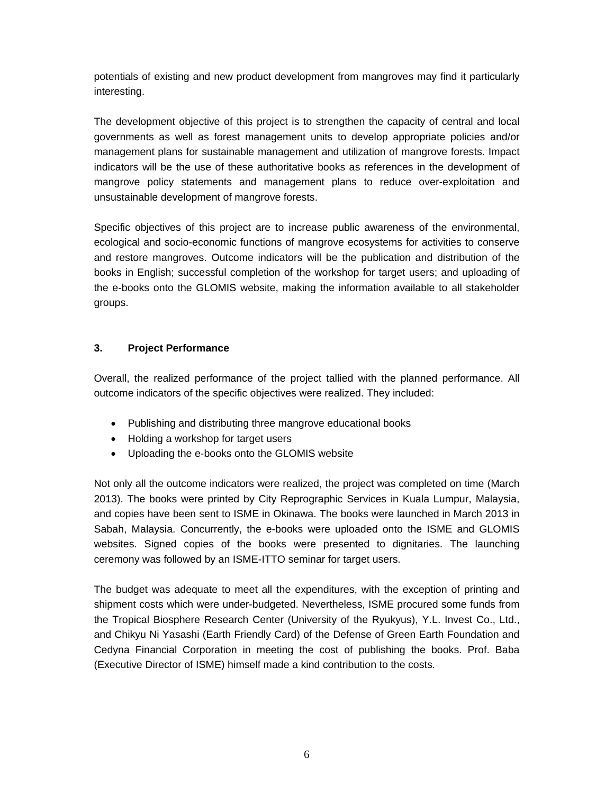potentials of existing and new product development from mangroves may find it particularly interesting.

The development objective of this project is to strengthen the capacity of central and local governments as well as forest management units to develop appropriate policies and/or management plans for sustainable management and utilization of mangrove forests. Impact indicators will be the use of these authoritative books as references in the development of mangrove policy statements and management plans to reduce over-exploitation and unsustainable development of mangrove forests.

Specific objectives of this project are to increase public awareness of the environmental, ecological and socio-economic functions of mangrove ecosystems for activities to conserve and restore mangroves. Outcome indicators will be the publication and distribution of the books in English; successful completion of the workshop for target users; and uploading of the e-books onto the GLOMIS website, making the information available to all stakeholder groups.

### **3. Project Performance**

Overall, the realized performance of the project tallied with the planned performance. All outcome indicators of the specific objectives were realized. They included:

- Publishing and distributing three mangrove educational books
- Holding a workshop for target users
- Uploading the e-books onto the GLOMIS website

Not only all the outcome indicators were realized, the project was completed on time (March 2013). The books were printed by City Reprographic Services in Kuala Lumpur, Malaysia, and copies have been sent to ISME in Okinawa. The books were launched in March 2013 in Sabah, Malaysia. Concurrently, the e-books were uploaded onto the ISME and GLOMIS websites. Signed copies of the books were presented to dignitaries. The launching ceremony was followed by an ISME-ITTO seminar for target users.

The budget was adequate to meet all the expenditures, with the exception of printing and shipment costs which were under-budgeted. Nevertheless, ISME procured some funds from the Tropical Biosphere Research Center (University of the Ryukyus), Y.L. Invest Co., Ltd., and Chikyu Ni Yasashi (Earth Friendly Card) of the Defense of Green Earth Foundation and Cedyna Financial Corporation in meeting the cost of publishing the books. Prof. Baba (Executive Director of ISME) himself made a kind contribution to the costs.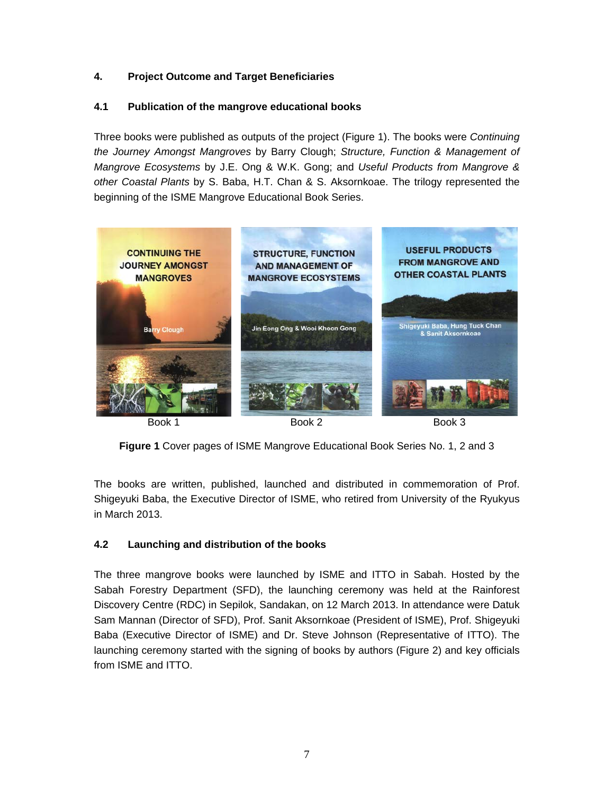## **4. Project Outcome and Target Beneficiaries**

## **4.1 Publication of the mangrove educational books**

Three books were published as outputs of the project (Figure 1). The books were *Continuing the Journey Amongst Mangroves* by Barry Clough; *Structure, Function & Management of Mangrove Ecosystems* by J.E. Ong & W.K. Gong; and *Useful Products from Mangrove & other Coastal Plants* by S. Baba, H.T. Chan & S. Aksornkoae. The trilogy represented the beginning of the ISME Mangrove Educational Book Series.



**Figure 1** Cover pages of ISME Mangrove Educational Book Series No. 1, 2 and 3

The books are written, published, launched and distributed in commemoration of Prof. Shigeyuki Baba, the Executive Director of ISME, who retired from University of the Ryukyus in March 2013.

## **4.2 Launching and distribution of the books**

The three mangrove books were launched by ISME and ITTO in Sabah. Hosted by the Sabah Forestry Department (SFD), the launching ceremony was held at the Rainforest Discovery Centre (RDC) in Sepilok, Sandakan, on 12 March 2013. In attendance were Datuk Sam Mannan (Director of SFD), Prof. Sanit Aksornkoae (President of ISME), Prof. Shigeyuki Baba (Executive Director of ISME) and Dr. Steve Johnson (Representative of ITTO). The launching ceremony started with the signing of books by authors (Figure 2) and key officials from ISME and ITTO.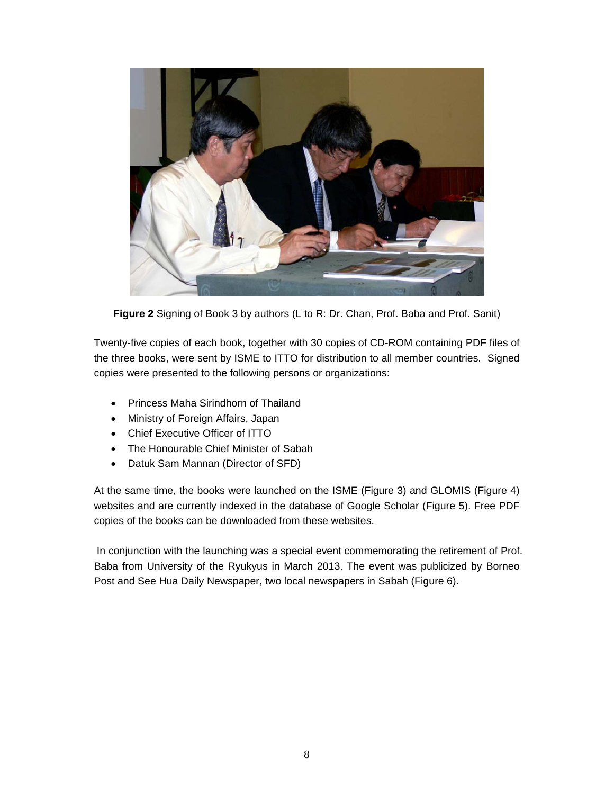

**Figure 2** Signing of Book 3 by authors (L to R: Dr. Chan, Prof. Baba and Prof. Sanit)

Twenty-five copies of each book, together with 30 copies of CD-ROM containing PDF files of the three books, were sent by ISME to ITTO for distribution to all member countries. Signed copies were presented to the following persons or organizations:

- Princess Maha Sirindhorn of Thailand
- Ministry of Foreign Affairs, Japan
- Chief Executive Officer of ITTO
- The Honourable Chief Minister of Sabah
- Datuk Sam Mannan (Director of SFD)

At the same time, the books were launched on the ISME (Figure 3) and GLOMIS (Figure 4) websites and are currently indexed in the database of Google Scholar (Figure 5). Free PDF copies of the books can be downloaded from these websites.

 In conjunction with the launching was a special event commemorating the retirement of Prof. Baba from University of the Ryukyus in March 2013. The event was publicized by Borneo Post and See Hua Daily Newspaper, two local newspapers in Sabah (Figure 6).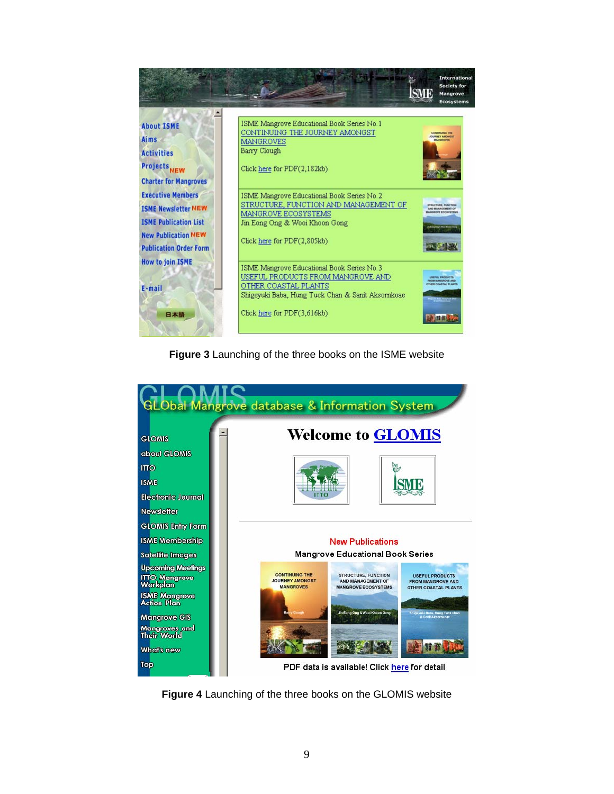

**Figure 3** Launching of the three books on the ISME website



**Figure 4** Launching of the three books on the GLOMIS website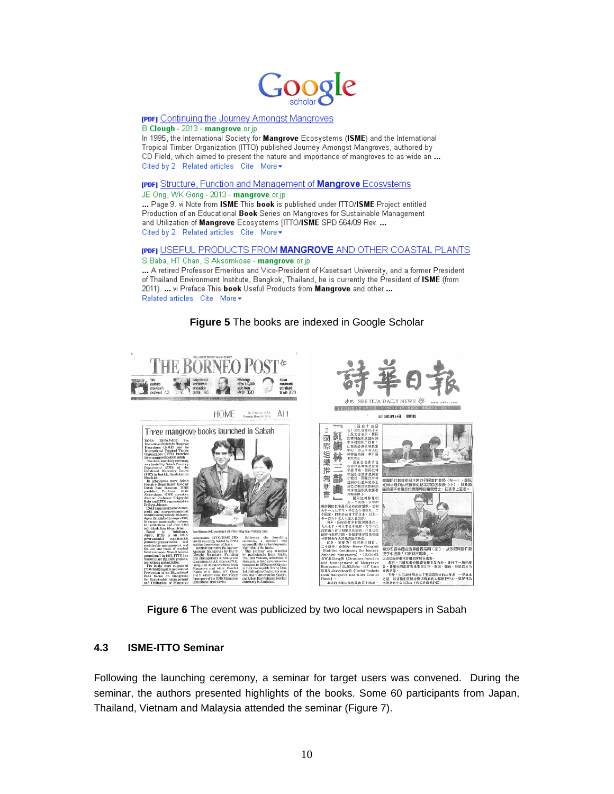

#### **[PDF]** Continuing the Journey Amongst Mangroves B Clough - 2013 - mangrove.or.jp

In 1995, the International Society for Mangrove Ecosystems (ISME) and the International Tropical Timber Organization (ITTO) published Journey Amongst Mangroves, authored by CD Field, which aimed to present the nature and importance of mangroves to as wide an ... Cited by 2 Related articles Cite More▼

#### [PDF] Structure, Function and Management of Mangrove Ecosystems

JE Ong, WK Gong - 2013 - mangrove.or.jp

... Page 9. vi Note from ISME This book is published under ITTO/ISME Project entitled Production of an Educational Book Series on Mangroves for Sustainable Management and Utilization of Mangrove Ecosystems [ITTO/ISME SPD 564/09 Rev. ... Cited by 2 Related articles Cite More +

## [PDF] USEFUL PRODUCTS FROM MANGROVE AND OTHER COASTAL PLANTS

S Baba, HT Chan, S Aksomkoae - mangrove.or.jp

... A retired Professor Emeritus and Vice-President of Kasetsart University, and a former President of Thailand Environment Institute, Bangkok, Thailand, he is currently the President of ISME (from 2011). ... vi Preface This book Useful Products from Mangrove and other ... Related articles Cite More ▼





**Figure 6** The event was publicized by two local newspapers in Sabah

#### **4.3 ISME-ITTO Seminar**

Following the launching ceremony, a seminar for target users was convened. During the seminar, the authors presented highlights of the books. Some 60 participants from Japan, Thailand, Vietnam and Malaysia attended the seminar (Figure 7).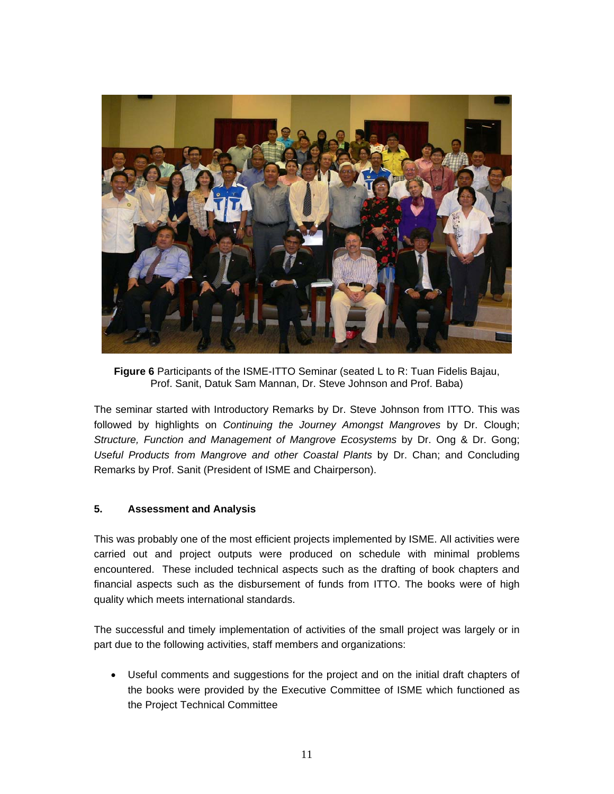

**Figure 6** Participants of the ISME-ITTO Seminar (seated L to R: Tuan Fidelis Bajau, Prof. Sanit, Datuk Sam Mannan, Dr. Steve Johnson and Prof. Baba)

The seminar started with Introductory Remarks by Dr. Steve Johnson from ITTO. This was followed by highlights on *Continuing the Journey Amongst Mangroves* by Dr. Clough; *Structure, Function and Management of Mangrove Ecosystems* by Dr. Ong & Dr. Gong; *Useful Products from Mangrove and other Coastal Plants* by Dr. Chan; and Concluding Remarks by Prof. Sanit (President of ISME and Chairperson).

#### **5. Assessment and Analysis**

This was probably one of the most efficient projects implemented by ISME. All activities were carried out and project outputs were produced on schedule with minimal problems encountered. These included technical aspects such as the drafting of book chapters and financial aspects such as the disbursement of funds from ITTO. The books were of high quality which meets international standards.

The successful and timely implementation of activities of the small project was largely or in part due to the following activities, staff members and organizations:

 Useful comments and suggestions for the project and on the initial draft chapters of the books were provided by the Executive Committee of ISME which functioned as the Project Technical Committee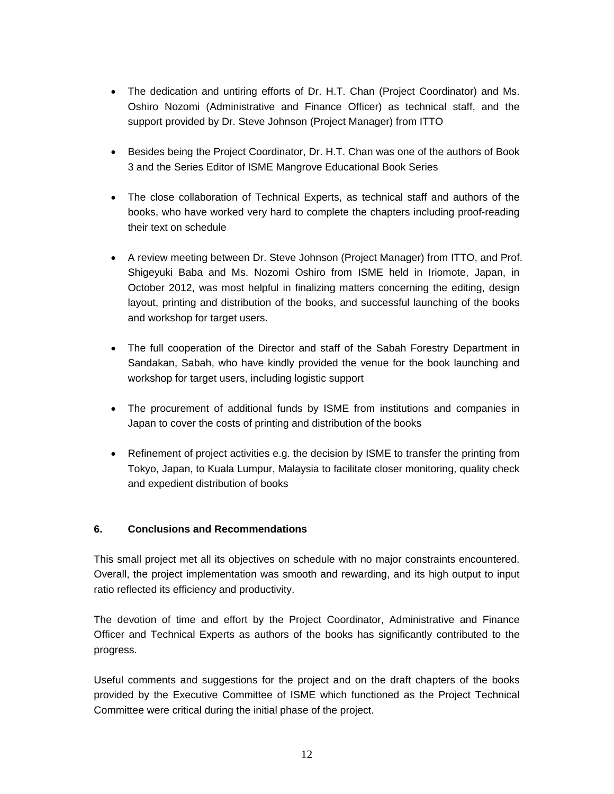- The dedication and untiring efforts of Dr. H.T. Chan (Project Coordinator) and Ms. Oshiro Nozomi (Administrative and Finance Officer) as technical staff, and the support provided by Dr. Steve Johnson (Project Manager) from ITTO
- Besides being the Project Coordinator, Dr. H.T. Chan was one of the authors of Book 3 and the Series Editor of ISME Mangrove Educational Book Series
- The close collaboration of Technical Experts, as technical staff and authors of the books, who have worked very hard to complete the chapters including proof-reading their text on schedule
- A review meeting between Dr. Steve Johnson (Project Manager) from ITTO, and Prof. Shigeyuki Baba and Ms. Nozomi Oshiro from ISME held in Iriomote, Japan, in October 2012, was most helpful in finalizing matters concerning the editing, design layout, printing and distribution of the books, and successful launching of the books and workshop for target users.
- The full cooperation of the Director and staff of the Sabah Forestry Department in Sandakan, Sabah, who have kindly provided the venue for the book launching and workshop for target users, including logistic support
- The procurement of additional funds by ISME from institutions and companies in Japan to cover the costs of printing and distribution of the books
- Refinement of project activities e.g. the decision by ISME to transfer the printing from Tokyo, Japan, to Kuala Lumpur, Malaysia to facilitate closer monitoring, quality check and expedient distribution of books

## **6. Conclusions and Recommendations**

This small project met all its objectives on schedule with no major constraints encountered. Overall, the project implementation was smooth and rewarding, and its high output to input ratio reflected its efficiency and productivity.

The devotion of time and effort by the Project Coordinator, Administrative and Finance Officer and Technical Experts as authors of the books has significantly contributed to the progress.

Useful comments and suggestions for the project and on the draft chapters of the books provided by the Executive Committee of ISME which functioned as the Project Technical Committee were critical during the initial phase of the project.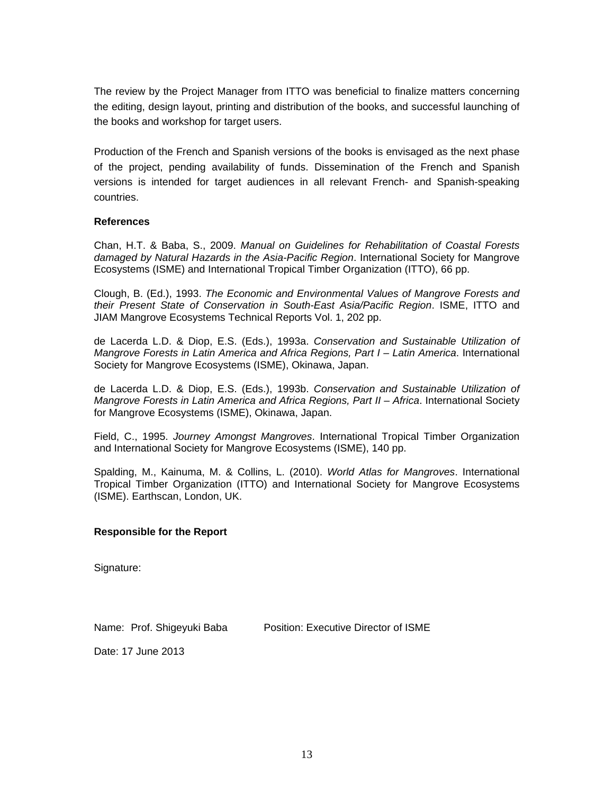The review by the Project Manager from ITTO was beneficial to finalize matters concerning the editing, design layout, printing and distribution of the books, and successful launching of the books and workshop for target users.

Production of the French and Spanish versions of the books is envisaged as the next phase of the project, pending availability of funds. Dissemination of the French and Spanish versions is intended for target audiences in all relevant French- and Spanish-speaking countries.

#### **References**

Chan, H.T. & Baba, S., 2009. *Manual on Guidelines for Rehabilitation of Coastal Forests damaged by Natural Hazards in the Asia-Pacific Region*. International Society for Mangrove Ecosystems (ISME) and International Tropical Timber Organization (ITTO), 66 pp.

Clough, B. (Ed.), 1993. *The Economic and Environmental Values of Mangrove Forests and their Present State of Conservation in South-East Asia/Pacific Region*. ISME, ITTO and JIAM Mangrove Ecosystems Technical Reports Vol. 1, 202 pp.

de Lacerda L.D. & Diop, E.S. (Eds.), 1993a. *Conservation and Sustainable Utilization of Mangrove Forests in Latin America and Africa Regions, Part I – Latin America*. International Society for Mangrove Ecosystems (ISME), Okinawa, Japan.

de Lacerda L.D. & Diop, E.S. (Eds.), 1993b. *Conservation and Sustainable Utilization of Mangrove Forests in Latin America and Africa Regions, Part II – Africa*. International Society for Mangrove Ecosystems (ISME), Okinawa, Japan.

Field, C., 1995. *Journey Amongst Mangroves*. International Tropical Timber Organization and International Society for Mangrove Ecosystems (ISME), 140 pp.

Spalding, M., Kainuma, M. & Collins, L. (2010). *World Atlas for Mangroves*. International Tropical Timber Organization (ITTO) and International Society for Mangrove Ecosystems (ISME). Earthscan, London, UK.

#### **Responsible for the Report**

Signature:

Name: Prof. Shigeyuki Baba Position: Executive Director of ISME

Date: 17 June 2013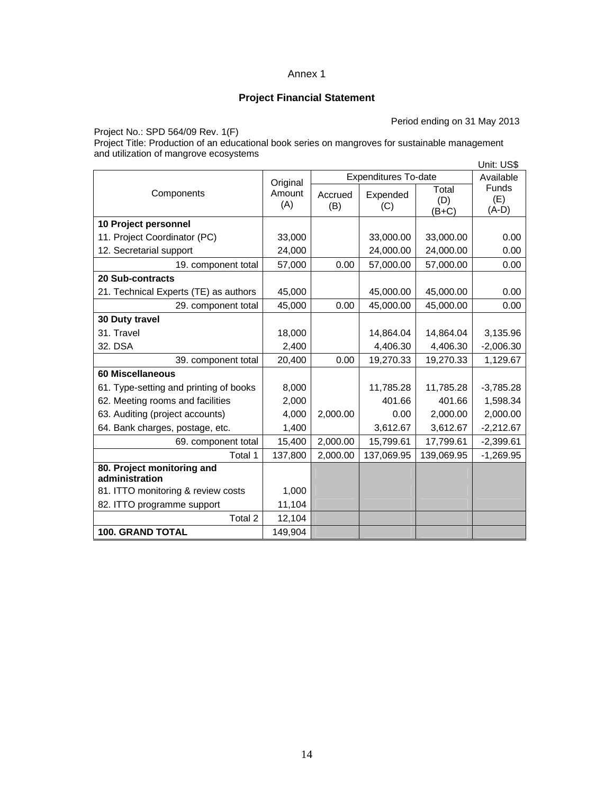# **Project Financial Statement**

Period ending on 31 May 2013

Project No.: SPD 564/09 Rev. 1(F)

Project Title: Production of an educational book series on mangroves for sustainable management and utilization of mangrove ecosystems Unit: US\$

|                                              |                           |                             | ບ⊓ແ. ບວຈ        |              |                           |
|----------------------------------------------|---------------------------|-----------------------------|-----------------|--------------|---------------------------|
|                                              | Original<br>Amount<br>(A) | <b>Expenditures To-date</b> |                 |              | Available<br><b>Funds</b> |
| Components                                   |                           | Accrued<br>(B)              | Expended<br>(C) | Total<br>(D) | (E)                       |
|                                              |                           |                             |                 | $(B+C)$      | $(A-D)$                   |
| 10 Project personnel                         |                           |                             |                 |              |                           |
| 11. Project Coordinator (PC)                 | 33,000                    |                             | 33,000.00       | 33,000.00    | 0.00                      |
| 12. Secretarial support                      | 24,000                    |                             | 24,000.00       | 24,000.00    | 0.00                      |
| 19. component total                          | 57,000                    | 0.00                        | 57,000.00       | 57,000.00    | 0.00                      |
| <b>20 Sub-contracts</b>                      |                           |                             |                 |              |                           |
| 21. Technical Experts (TE) as authors        | 45,000                    |                             | 45,000.00       | 45,000.00    | 0.00                      |
| 29. component total                          | 45,000                    | 0.00                        | 45,000.00       | 45,000.00    | 0.00                      |
| 30 Duty travel                               |                           |                             |                 |              |                           |
| 31. Travel                                   | 18,000                    |                             | 14,864.04       | 14,864.04    | 3,135.96                  |
| 32. DSA                                      | 2,400                     |                             | 4,406.30        | 4,406.30     | $-2,006.30$               |
| 39. component total                          | 20,400                    | 0.00                        | 19,270.33       | 19,270.33    | 1,129.67                  |
| 60 Miscellaneous                             |                           |                             |                 |              |                           |
| 61. Type-setting and printing of books       | 8,000                     |                             | 11.785.28       | 11,785.28    | $-3,785.28$               |
| 62. Meeting rooms and facilities             | 2,000                     |                             | 401.66          | 401.66       | 1,598.34                  |
| 63. Auditing (project accounts)              | 4,000                     | 2,000.00                    | 0.00            | 2,000.00     | 2,000.00                  |
| 64. Bank charges, postage, etc.              | 1,400                     |                             | 3,612.67        | 3,612.67     | $-2,212.67$               |
| 69. component total                          | 15,400                    | 2,000.00                    | 15,799.61       | 17,799.61    | $-2,399.61$               |
| Total 1                                      | 137,800                   | 2,000.00                    | 137,069.95      | 139,069.95   | $-1,269.95$               |
| 80. Project monitoring and<br>administration |                           |                             |                 |              |                           |
| 81. ITTO monitoring & review costs           | 1,000                     |                             |                 |              |                           |
| 82. ITTO programme support                   | 11,104                    |                             |                 |              |                           |
| Total 2                                      | 12,104                    |                             |                 |              |                           |
| <b>100. GRAND TOTAL</b>                      | 149,904                   |                             |                 |              |                           |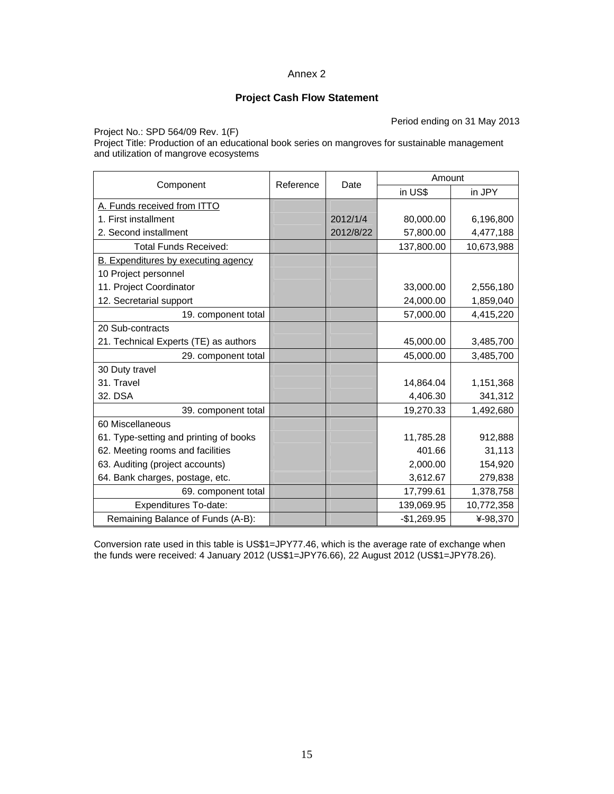#### **Project Cash Flow Statement**

Period ending on 31 May 2013

Project No.: SPD 564/09 Rev. 1(F)

Project Title: Production of an educational book series on mangroves for sustainable management and utilization of mangrove ecosystems

|                                            | Reference |           | Amount       |            |  |
|--------------------------------------------|-----------|-----------|--------------|------------|--|
| Component                                  |           | Date      | in US\$      | in JPY     |  |
| A. Funds received from ITTO                |           |           |              |            |  |
| 1. First installment                       |           | 2012/1/4  | 80,000.00    | 6,196,800  |  |
| 2. Second installment                      |           | 2012/8/22 | 57,800.00    | 4,477,188  |  |
| <b>Total Funds Received:</b>               |           |           | 137,800.00   | 10,673,988 |  |
| <b>B.</b> Expenditures by executing agency |           |           |              |            |  |
| 10 Project personnel                       |           |           |              |            |  |
| 11. Project Coordinator                    |           |           | 33,000.00    | 2,556,180  |  |
| 12. Secretarial support                    |           |           | 24,000.00    | 1,859,040  |  |
| 19. component total                        |           |           | 57,000.00    | 4,415,220  |  |
| 20 Sub-contracts                           |           |           |              |            |  |
| 21. Technical Experts (TE) as authors      |           |           | 45,000.00    | 3,485,700  |  |
| 29. component total                        |           |           | 45,000.00    | 3,485,700  |  |
| 30 Duty travel                             |           |           |              |            |  |
| 31. Travel                                 |           |           | 14,864.04    | 1,151,368  |  |
| 32. DSA                                    |           |           | 4,406.30     | 341,312    |  |
| 39. component total                        |           |           | 19,270.33    | 1,492,680  |  |
| 60 Miscellaneous                           |           |           |              |            |  |
| 61. Type-setting and printing of books     |           |           | 11,785.28    | 912,888    |  |
| 62. Meeting rooms and facilities           |           |           | 401.66       | 31,113     |  |
| 63. Auditing (project accounts)            |           |           | 2,000.00     | 154,920    |  |
| 64. Bank charges, postage, etc.            |           |           | 3,612.67     | 279,838    |  |
| 69. component total                        |           |           | 17,799.61    | 1,378,758  |  |
| Expenditures To-date:                      |           |           | 139,069.95   | 10,772,358 |  |
| Remaining Balance of Funds (A-B):          |           |           | $-$1,269.95$ | ¥-98,370   |  |

Conversion rate used in this table is US\$1=JPY77.46, which is the average rate of exchange when the funds were received: 4 January 2012 (US\$1=JPY76.66), 22 August 2012 (US\$1=JPY78.26).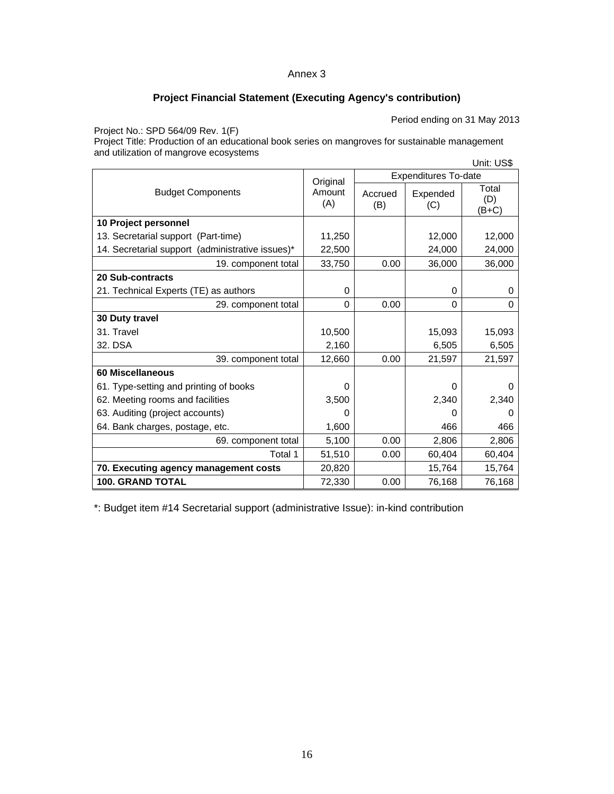# **Project Financial Statement (Executing Agency's contribution)**

Period ending on 31 May 2013

Project No.: SPD 564/09 Rev. 1(F)

Project Title: Production of an educational book series on mangroves for sustainable management and utilization of mangrove ecosystems Unit: US\$

|                                                  | Original<br>Amount<br>(A) | ບ⊓ແ. ບວຈ<br><b>Expenditures To-date</b> |                 |                         |
|--------------------------------------------------|---------------------------|-----------------------------------------|-----------------|-------------------------|
| <b>Budget Components</b>                         |                           | Accrued<br>(B)                          | Expended<br>(C) | Total<br>(D)<br>$(B+C)$ |
| 10 Project personnel                             |                           |                                         |                 |                         |
| 13. Secretarial support (Part-time)              | 11,250                    |                                         | 12,000          | 12,000                  |
| 14. Secretarial support (administrative issues)* | 22,500                    |                                         | 24,000          | 24,000                  |
| 19. component total                              | 33,750                    | 0.00                                    | 36,000          | 36,000                  |
| 20 Sub-contracts                                 |                           |                                         |                 |                         |
| 21. Technical Experts (TE) as authors            | 0                         |                                         | 0               | 0                       |
| 29. component total                              | $\Omega$                  | 0.00                                    | $\Omega$        | $\Omega$                |
| 30 Duty travel                                   |                           |                                         |                 |                         |
| 31. Travel                                       | 10,500                    |                                         | 15,093          | 15,093                  |
| 32. DSA                                          | 2,160                     |                                         | 6,505           | 6,505                   |
| 39. component total                              | 12,660                    | 0.00                                    | 21,597          | 21,597                  |
| <b>60 Miscellaneous</b>                          |                           |                                         |                 |                         |
| 61. Type-setting and printing of books           | 0                         |                                         | $\Omega$        | O                       |
| 62. Meeting rooms and facilities                 | 3,500                     |                                         | 2,340           | 2,340                   |
| 63. Auditing (project accounts)                  | 0                         |                                         | 0               | O                       |
| 64. Bank charges, postage, etc.                  | 1,600                     |                                         | 466             | 466                     |
| 69. component total                              | 5,100                     | 0.00                                    | 2,806           | 2,806                   |
| Total 1                                          | 51,510                    | 0.00                                    | 60,404          | 60,404                  |
| 70. Executing agency management costs            | 20,820                    |                                         | 15,764          | 15,764                  |
| <b>100. GRAND TOTAL</b>                          | 72,330                    | 0.00                                    | 76,168          | 76,168                  |

\*: Budget item #14 Secretarial support (administrative Issue): in-kind contribution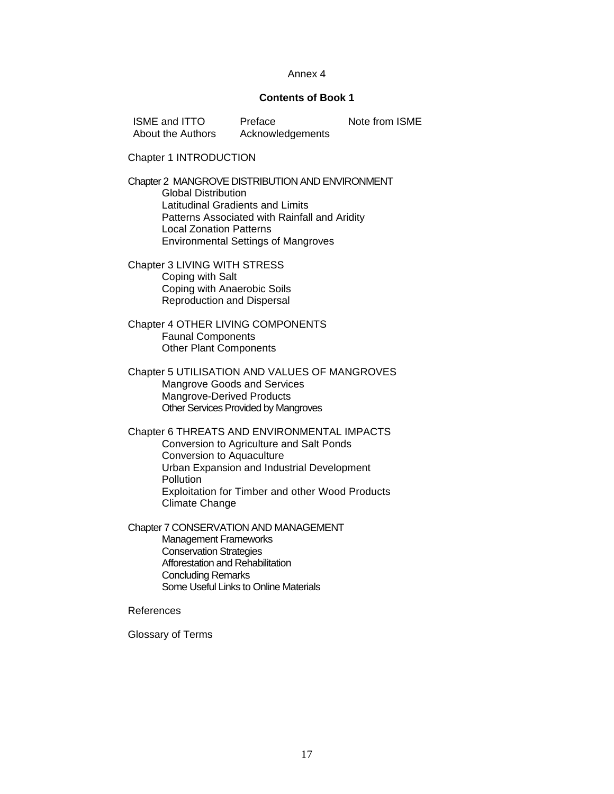#### **Contents of Book 1**

| <b>ISME and ITTO</b> | Preface          | Note from ISME |
|----------------------|------------------|----------------|
| About the Authors    | Acknowledgements |                |

Chapter 1 INTRODUCTION

Chapter 2 MANGROVE DISTRIBUTION AND ENVIRONMENT Global Distribution Latitudinal Gradients and Limits Patterns Associated with Rainfall and Aridity Local Zonation Patterns Environmental Settings of Mangroves

Chapter 3 LIVING WITH STRESS Coping with Salt Coping with Anaerobic Soils Reproduction and Dispersal

Chapter 4 OTHER LIVING COMPONENTS Faunal Components Other Plant Components

Chapter 5 UTILISATION AND VALUES OF MANGROVES Mangrove Goods and Services Mangrove-Derived Products Other Services Provided by Mangroves

Chapter 6 THREATS AND ENVIRONMENTAL IMPACTS Conversion to Agriculture and Salt Ponds Conversion to Aquaculture Urban Expansion and Industrial Development **Pollution** Exploitation for Timber and other Wood Products Climate Change

Chapter 7 CONSERVATION AND MANAGEMENT Management Frameworks Conservation Strategies Afforestation and Rehabilitation Concluding Remarks Some Useful Links to Online Materials

#### References

Glossary of Terms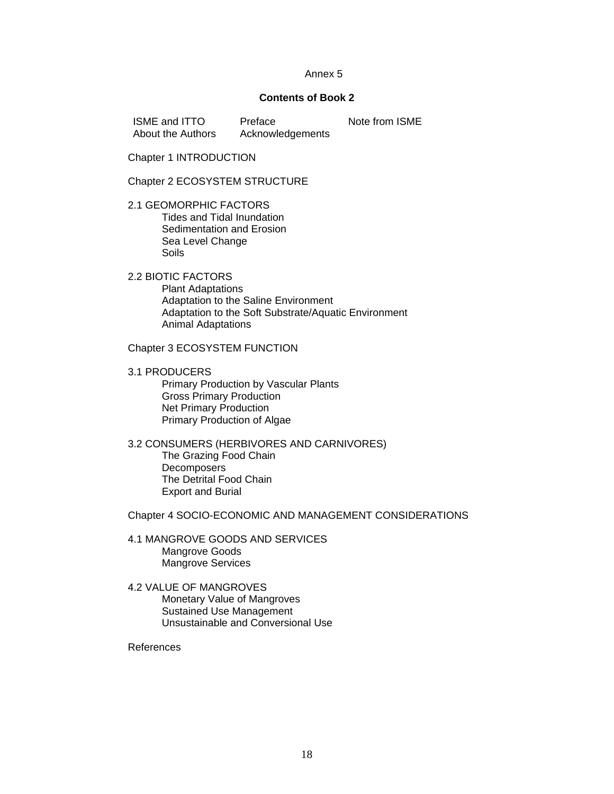#### **Contents of Book 2**

ISME and ITTO About the Authors Preface Acknowledgements Note from ISME

Chapter 1 INTRODUCTION

Chapter 2 ECOSYSTEM STRUCTURE

2.1 GEOMORPHIC FACTORS Tides and Tidal Inundation Sedimentation and Erosion Sea Level Change Soils

2.2 BIOTIC FACTORS Plant Adaptations Adaptation to the Saline Environment Adaptation to the Soft Substrate/Aquatic Environment Animal Adaptations

Chapter 3 ECOSYSTEM FUNCTION

3.1 PRODUCERS Primary Production by Vascular Plants Gross Primary Production Net Primary Production Primary Production of Algae

3.2 CONSUMERS (HERBIVORES AND CARNIVORES) The Grazing Food Chain **Decomposers** The Detrital Food Chain Export and Burial

Chapter 4 SOCIO-ECONOMIC AND MANAGEMENT CONSIDERATIONS

4.1 MANGROVE GOODS AND SERVICES Mangrove Goods Mangrove Services

4.2 VALUE OF MANGROVES Monetary Value of Mangroves Sustained Use Management Unsustainable and Conversional Use

References